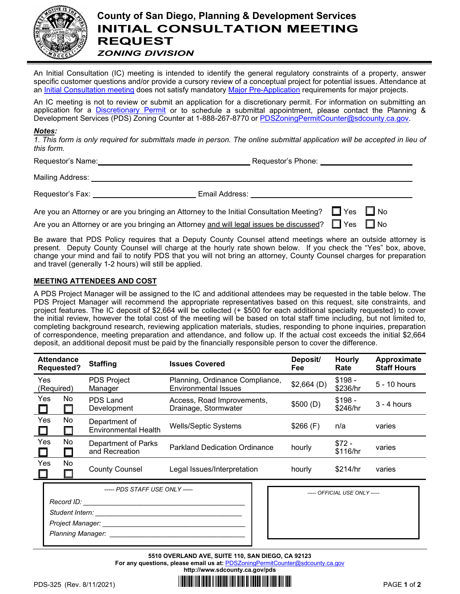

# **County of San Diego, Planning & Development Services INITIAL CONSULTATION MEETING REQUEST** *ZONING DIVISION*

An Initial Consultation (IC) meeting is intended to identify the general regulatory constraints of a property, answer specific customer questions and/or provide a cursory review of a conceptual project for potential issues. Attendance at an [Initial Consultation meeting](http://www.sdcounty.ca.gov/pds/zoning/ZoningPermits.html) does not satisfy mandatory [Major Pre-Application](http://www.sdcounty.ca.gov/pds/zoning/ZoningPermits.html) requirements for major projects.

An IC meeting is not to review or submit an application for a discretionary permit. For information on submitting an application for a [Discretionary Permit](http://www.sdcounty.ca.gov/pds/zoning/ZoningPermits.html) or to schedule a submittal appointment, please contact the Planning & Development Services (PDS) Zoning Counter at 1-888-267-8770 or PDSZoningPermitCounter@sdcounty.ca.gov.

### *Notes:*

*1. This form is only required for submittals made in person. The online submittal application will be accepted in lieu of this form.*

Requestor's Name: Name: Name: Requestor's Phone: Name: Name of Requestor's Phone: Name of Requestor's Phone: Name of Requestor's Phone: Name of Requestor's Phone: Name of Requestor's Phone: Name of Requestor's Phone: Name

| <b>Mailing Address:</b> |  |
|-------------------------|--|
|                         |  |

Requestor's Fax: Email Address:

Are you an Attorney or are you bringing an Attorney to the Initial Consultation Meeting?  $\Box$  Yes  $\Box$  No

Are you an Attorney or are you bringing an Attorney and will legal issues be discussed?  $\Box$  Yes  $\Box$  No

Be aware that PDS Policy requires that a Deputy County Counsel attend meetings where an outside attorney is present. Deputy County Counsel will charge at the hourly rate shown below. If you check the "Yes" box, above, change your mind and fail to notify PDS that you will not bring an attorney, County Counsel charges for preparation and travel (generally 1-2 hours) will still be applied.

### **MEETING ATTENDEES AND COST**

A PDS Project Manager will be assigned to the IC and additional attendees may be requested in the table below. The PDS Project Manager will recommend the appropriate representatives based on this request, site constraints, and project features. The IC deposit of \$2,664 will be collected (+ \$500 for each additional specialty requested) to cover the initial review, however the total cost of the meeting will be based on total staff time including, but not limited to, completing background research, reviewing application materials, studies, responding to phone inquiries, preparation of correspondence, meeting preparation and attendance, and follow up. If the actual cost exceeds the initial \$2,664 deposit, an additional deposit must be paid by the financially responsible person to cover the difference.

|                   | <b>Attendance</b><br><b>Requested?</b> | <b>Staffing</b>                              | <b>Issues Covered</b>                                          | Deposit/<br><b>Fee</b> | <b>Hourly</b><br>Rate | Approximate<br><b>Staff Hours</b> |
|-------------------|----------------------------------------|----------------------------------------------|----------------------------------------------------------------|------------------------|-----------------------|-----------------------------------|
| Yes<br>(Required) |                                        | <b>PDS Project</b><br>Manager                | Planning, Ordinance Compliance,<br><b>Environmental Issues</b> | \$2,664(D)             | $$198 -$<br>\$236/hr  | 5 - 10 hours                      |
| Yes               | No<br>$\Box$                           | PDS Land<br>Development                      | Access, Road Improvements,<br>Drainage, Stormwater             | \$500(D)               | $$198 -$<br>\$246/hr  | $3 - 4$ hours                     |
| Yes               | No<br>$\Box$                           | Department of<br><b>Environmental Health</b> | <b>Wells/Septic Systems</b>                                    | \$266(F)               | n/a                   | varies                            |
| Yes               | No<br>$\Box$                           | Department of Parks<br>and Recreation        | <b>Parkland Dedication Ordinance</b>                           | hourly                 | $$72 -$<br>\$116/hr   | varies                            |
| Yes               | No<br>П                                | <b>County Counsel</b>                        | Legal Issues/Interpretation                                    | hourly                 | \$214/hr              | varies                            |
|                   |                                        | ----- PDS STAFF USF ONLY -----               |                                                                |                        |                       |                                   |

| ----- PDS STAFF USE ONLY ----- |  | ----- OFFICIAL USE ONLY ----- |
|--------------------------------|--|-------------------------------|
| Record ID:                     |  |                               |
| Student Intern:                |  |                               |
| Project Manager:               |  |                               |
| <b>Planning Manager:</b>       |  |                               |
|                                |  |                               |

| ----- OFFICIAL USE ONLY ----- |
|-------------------------------|
|                               |
|                               |
|                               |
|                               |

**5510 OVERLAND AVE, SUITE 110, SAN DIEGO, CA 92123**

For any questions, please email us at: **[PDSZoningPermitCounter@sdcounty.ca.gov](mailto:PDSZoningPermitCounter@sdcounty.ca.gov) <http://www.sdcounty.ca.gov/pds>**